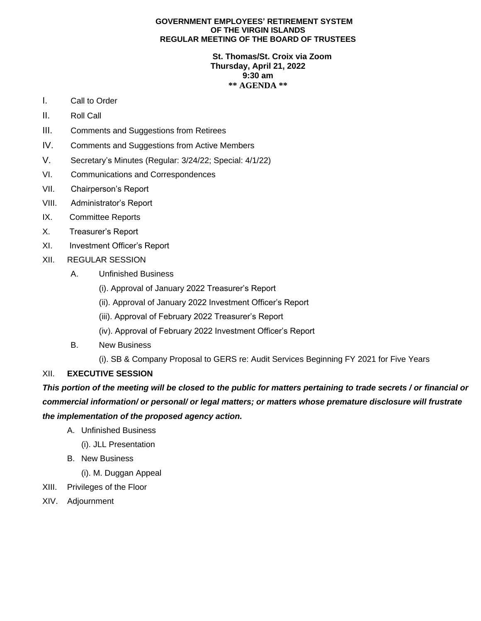## **GOVERNMENT EMPLOYEES' RETIREMENT SYSTEM OF THE VIRGIN ISLANDS REGULAR MEETING OF THE BOARD OF TRUSTEES**

## **St. Thomas/St. Croix via Zoom Thursday, April 21, 2022 9:30 am \*\* AGENDA \*\***

- I. Call to Order
- II. Roll Call
- III. Comments and Suggestions from Retirees
- IV. Comments and Suggestions from Active Members
- V. Secretary's Minutes (Regular: 3/24/22; Special: 4/1/22)
- VI. Communications and Correspondences
- VII. Chairperson's Report
- VIII. Administrator's Report
- IX. Committee Reports
- X. Treasurer's Report
- XI. Investment Officer's Report
- XII. REGULAR SESSION
	- A. Unfinished Business
		- (i). Approval of January 2022 Treasurer's Report
		- (ii). Approval of January 2022 Investment Officer's Report
		- (iii). Approval of February 2022 Treasurer's Report
		- (iv). Approval of February 2022 Investment Officer's Report
	- B. New Business
		- (i). SB & Company Proposal to GERS re: Audit Services Beginning FY 2021 for Five Years

## XII. **EXECUTIVE SESSION**

*This portion of the meeting will be closed to the public for matters pertaining to trade secrets / or financial or commercial information/ or personal/ or legal matters; or matters whose premature disclosure will frustrate the implementation of the proposed agency action.* 

- A. Unfinished Business
	- (i). JLL Presentation
- B. New Business
	- (i). M. Duggan Appeal
- XIII. Privileges of the Floor
- XIV. Adjournment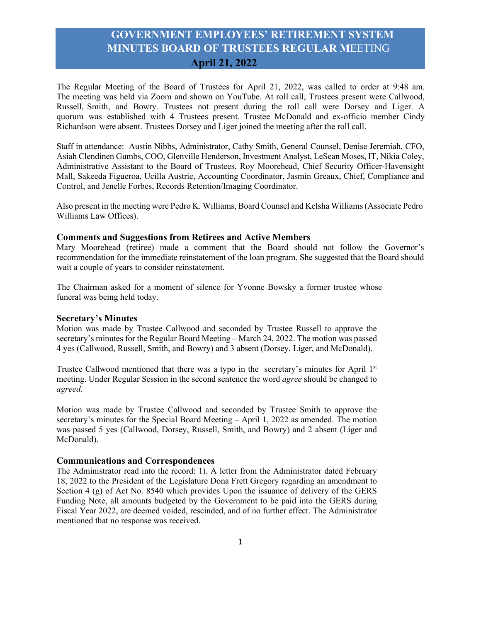The Regular Meeting of the Board of Trustees for April 21, 2022, was called to order at 9:48 am. The meeting was held via Zoom and shown on YouTube. At roll call, Trustees present were Callwood, Russell, Smith, and Bowry. Trustees not present during the roll call were Dorsey and Liger. A quorum was established with 4 Trustees present. Trustee McDonald and ex-officio member Cindy Richardson were absent. Trustees Dorsey and Liger joined the meeting after the roll call.

Staff in attendance: Austin Nibbs, Administrator, Cathy Smith, General Counsel, Denise Jeremiah, CFO, Asiah Clendinen Gumbs, COO, Glenville Henderson, Investment Analyst, LeSean Moses, IT, Nikia Coley, Administrative Assistant to the Board of Trustees, Roy Moorehead, Chief Security Officer-Havensight Mall, Sakeeda Figueroa, Ucilla Austrie, Accounting Coordinator, Jasmin Greaux, Chief, Compliance and Control, and Jenelle Forbes, Records Retention/Imaging Coordinator.

Also present in the meeting were Pedro K. Williams, Board Counsel and Kelsha Williams (Associate Pedro Williams Law Offices).

## **Comments and Suggestions from Retirees and Active Members**

Mary Moorehead (retiree) made a comment that the Board should not follow the Governor's recommendation for the immediate reinstatement of the loan program. She suggested that the Board should wait a couple of years to consider reinstatement.

The Chairman asked for a moment of silence for Yvonne Bowsky a former trustee whose funeral was being held today.

## **Secretary's Minutes**

Motion was made by Trustee Callwood and seconded by Trustee Russell to approve the secretary's minutes for the Regular Board Meeting – March 24, 2022. The motion was passed 4 yes (Callwood, Russell, Smith, and Bowry) and 3 absent (Dorsey, Liger, and McDonald).

Trustee Callwood mentioned that there was a typo in the secretary's minutes for April 1<sup>st</sup> meeting. Under Regular Session in the second sentence the word *agree* should be changed to *agreed*.

Motion was made by Trustee Callwood and seconded by Trustee Smith to approve the secretary's minutes for the Special Board Meeting – April 1, 2022 as amended. The motion was passed 5 yes (Callwood, Dorsey, Russell, Smith, and Bowry) and 2 absent (Liger and McDonald).

## **Communications and Correspondences**

The Administrator read into the record: 1). A letter from the Administrator dated February 18, 2022 to the President of the Legislature Dona Frett Gregory regarding an amendment to Section 4 (g) of Act No. 8540 which provides Upon the issuance of delivery of the GERS Funding Note, all amounts budgeted by the Government to be paid into the GERS during Fiscal Year 2022, are deemed voided, rescinded, and of no further effect. The Administrator mentioned that no response was received.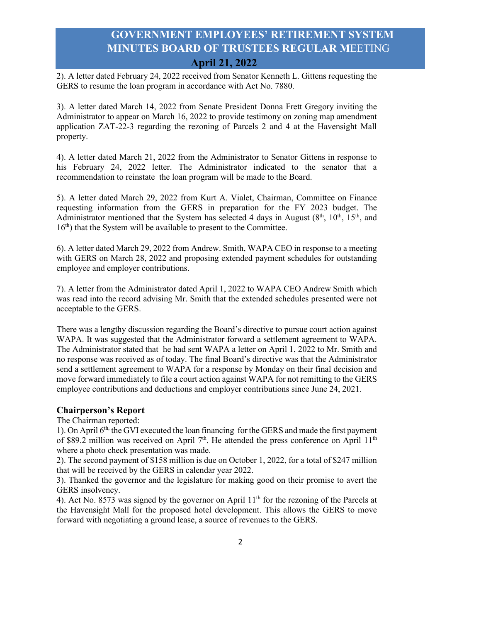2). A letter dated February 24, 2022 received from Senator Kenneth L. Gittens requesting the GERS to resume the loan program in accordance with Act No. 7880.

3). A letter dated March 14, 2022 from Senate President Donna Frett Gregory inviting the Administrator to appear on March 16, 2022 to provide testimony on zoning map amendment application ZAT-22-3 regarding the rezoning of Parcels 2 and 4 at the Havensight Mall property.

4). A letter dated March 21, 2022 from the Administrator to Senator Gittens in response to his February 24, 2022 letter. The Administrator indicated to the senator that a recommendation to reinstate the loan program will be made to the Board.

5). A letter dated March 29, 2022 from Kurt A. Vialet, Chairman, Committee on Finance requesting information from the GERS in preparation for the FY 2023 budget. The Administrator mentioned that the System has selected 4 days in August  $(8<sup>th</sup>, 10<sup>th</sup>, 15<sup>th</sup>,$  and  $16<sup>th</sup>$ ) that the System will be available to present to the Committee.

6). A letter dated March 29, 2022 from Andrew. Smith, WAPA CEO in response to a meeting with GERS on March 28, 2022 and proposing extended payment schedules for outstanding employee and employer contributions.

7). A letter from the Administrator dated April 1, 2022 to WAPA CEO Andrew Smith which was read into the record advising Mr. Smith that the extended schedules presented were not acceptable to the GERS.

There was a lengthy discussion regarding the Board's directive to pursue court action against WAPA. It was suggested that the Administrator forward a settlement agreement to WAPA. The Administrator stated that he had sent WAPA a letter on April 1, 2022 to Mr. Smith and no response was received as of today. The final Board's directive was that the Administrator send a settlement agreement to WAPA for a response by Monday on their final decision and move forward immediately to file a court action against WAPA for not remitting to the GERS employee contributions and deductions and employer contributions since June 24, 2021.

## **Chairperson's Report**

The Chairman reported:

1). On April 6th, the GVI executed the loan financing for the GERS and made the first payment of \$89.2 million was received on April  $7<sup>th</sup>$ . He attended the press conference on April 11<sup>th</sup> where a photo check presentation was made.

2). The second payment of \$158 million is due on October 1, 2022, for a total of \$247 million that will be received by the GERS in calendar year 2022.

3). Thanked the governor and the legislature for making good on their promise to avert the GERS insolvency.

4). Act No. 8573 was signed by the governor on April  $11<sup>th</sup>$  for the rezoning of the Parcels at the Havensight Mall for the proposed hotel development. This allows the GERS to move forward with negotiating a ground lease, a source of revenues to the GERS.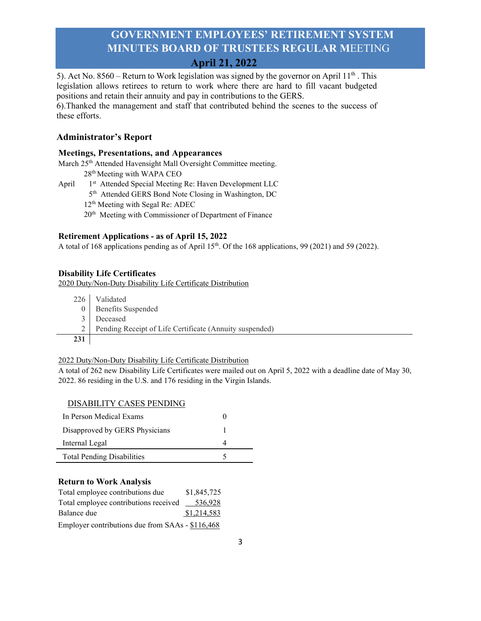5). Act No. 8560 – Return to Work legislation was signed by the governor on April 11<sup>th</sup>. This legislation allows retirees to return to work where there are hard to fill vacant budgeted positions and retain their annuity and pay in contributions to the GERS.

6).Thanked the management and staff that contributed behind the scenes to the success of these efforts.

## **Administrator's Report**

## **Meetings, Presentations, and Appearances**

March 25<sup>th</sup> Attended Havensight Mall Oversight Committee meeting.

- 28th Meeting with WAPA CEO
- April 1<sup>st</sup> Attended Special Meeting Re: Haven Development LLC
	- 5<sup>th</sup> Attended GERS Bond Note Closing in Washington, DC
	- 12<sup>th</sup> Meeting with Segal Re: ADEC
	- 20<sup>th</sup> Meeting with Commissioner of Department of Finance

## **Retirement Applications - as of April 15, 2022**

A total of 168 applications pending as of April  $15<sup>th</sup>$ . Of the 168 applications, 99 (2021) and 59 (2022).

## **Disability Life Certificates**

2020 Duty/Non-Duty Disability Life Certificate Distribution

|     | 226 Validated                                           |
|-----|---------------------------------------------------------|
|     | <b>Benefits</b> Suspended                               |
|     | Deceased                                                |
|     | Pending Receipt of Life Certificate (Annuity suspended) |
| 231 |                                                         |

## 2022 Duty/Non-Duty Disability Life Certificate Distribution

A total of 262 new Disability Life Certificates were mailed out on April 5, 2022 with a deadline date of May 30, 2022. 86 residing in the U.S. and 176 residing in the Virgin Islands.

## DISABILITY CASES PENDING

| In Person Medical Exams           |  |
|-----------------------------------|--|
| Disapproved by GERS Physicians    |  |
| Internal Legal                    |  |
| <b>Total Pending Disabilities</b> |  |

## **Return to Work Analysis**

| Total employee contributions due                 | \$1,845,725 |  |  |
|--------------------------------------------------|-------------|--|--|
| Total employee contributions received            | 536,928     |  |  |
| Balance due                                      | \$1,214,583 |  |  |
| Employer contributions due from SAAs - \$116,468 |             |  |  |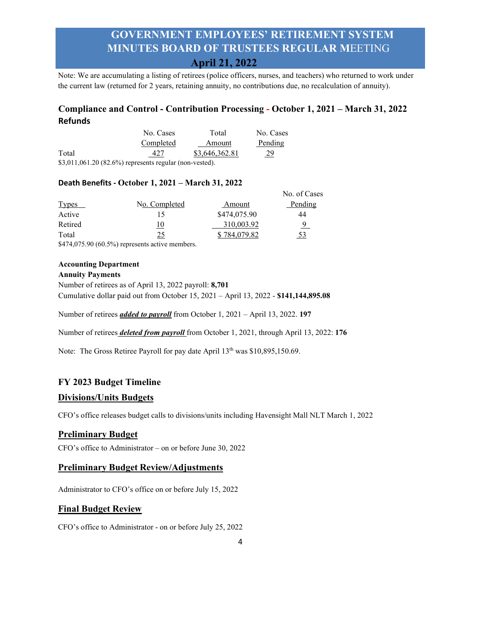Note: We are accumulating a listing of retirees (police officers, nurses, and teachers) who returned to work under the current law (returned for 2 years, retaining annuity, no contributions due, no recalculation of annuity).

## **Compliance and Control - Contribution Processing - October 1, 2021 – March 31, 2022 Refunds**

|       | No. Cases                                              | Total          | No. Cases |
|-------|--------------------------------------------------------|----------------|-----------|
|       | Completed                                              | Amount         | Pending   |
| Total | 427                                                    | \$3,646,362.81 | 29        |
|       | $$3.011.061.20(82.6%)$ represents regular (non-vested) |                |           |

\$3,011,061.20 (82.6%) represents regular (non-vested).

## **Death Benefits - October 1, 2021 – March 31, 2022**

|                                                                                           |               |              | No. of Cases |
|-------------------------------------------------------------------------------------------|---------------|--------------|--------------|
| Types                                                                                     | No. Completed | Amount       | Pending      |
| Active                                                                                    |               | \$474,075.90 | 44           |
| Retired                                                                                   | 10            | 310,003.92   | 9            |
| Total                                                                                     | 25            | \$784,079.82 | 53           |
| $\wedge$ $\cdots$ $\wedge$ $\wedge$ $\wedge$ $\wedge$ $\wedge$ $\wedge$ $\wedge$ $\wedge$ |               |              |              |

\$474,075.90 (60.5%) represents active members.

## **Accounting Department**

#### **Annuity Payments**

Number of retirees as of April 13, 2022 payroll: **8,701** Cumulative dollar paid out from October 15, 2021 – April 13, 2022 - **\$141,144,895.08**

Number of retirees *added to payroll* from October 1, 2021 – April 13, 2022. **197**

Number of retirees *deleted from payroll* from October 1, 2021, through April 13, 2022: **176**

Note: The Gross Retiree Payroll for pay date April 13<sup>th</sup> was \$10,895,150.69.

## **FY 2023 Budget Timeline**

## **Divisions/Units Budgets**

CFO's office releases budget calls to divisions/units including Havensight Mall NLT March 1, 2022

## **Preliminary Budget**

CFO's office to Administrator – on or before June 30, 2022

## **Preliminary Budget Review/Adjustments**

Administrator to CFO's office on or before July 15, 2022

## **Final Budget Review**

CFO's office to Administrator - on or before July 25, 2022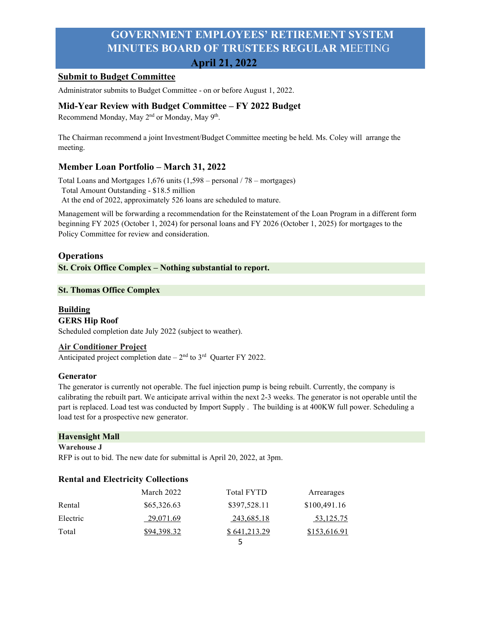# **Submit to Budget Committee**

Administrator submits to Budget Committee - on or before August 1, 2022.

## **Mid-Year Review with Budget Committee – FY 2022 Budget**

Recommend Monday, May 2<sup>nd</sup> or Monday, May 9<sup>th</sup>.

The Chairman recommend a joint Investment/Budget Committee meeting be held. Ms. Coley will arrange the meeting.

## **Member Loan Portfolio – March 31, 2022**

Total Loans and Mortgages 1,676 units (1,598 – personal / 78 – mortgages) Total Amount Outstanding - \$18.5 million At the end of 2022, approximately 526 loans are scheduled to mature.

Management will be forwarding a recommendation for the Reinstatement of the Loan Program in a different form beginning FY 2025 (October 1, 2024) for personal loans and FY 2026 (October 1, 2025) for mortgages to the Policy Committee for review and consideration.

## **Operations**

**St. Croix Office Complex – Nothing substantial to report.**

## **St. Thomas Office Complex**

## **Building GERS Hip Roof**

Scheduled completion date July 2022 (subject to weather).

## **Air Conditioner Project**

Anticipated project completion date  $-2<sup>nd</sup>$  to  $3<sup>rd</sup>$  Quarter FY 2022.

## **Generator**

The generator is currently not operable. The fuel injection pump is being rebuilt. Currently, the company is calibrating the rebuilt part. We anticipate arrival within the next 2-3 weeks. The generator is not operable until the part is replaced. Load test was conducted by Import Supply . The building is at 400KW full power. Scheduling a load test for a prospective new generator.

## **Havensight Mall**

#### **Warehouse J**

RFP is out to bid. The new date for submittal is April 20, 2022, at 3pm.

## **Rental and Electricity Collections**

|          | March 2022  | <b>Total FYTD</b> | Arrearages   |
|----------|-------------|-------------------|--------------|
| Rental   | \$65,326.63 | \$397,528.11      | \$100,491.16 |
| Electric | 29,071.69   | 243,685.18        | 53,125.75    |
| Total    | \$94,398.32 | \$641,213.29      | \$153,616.91 |
|          |             |                   |              |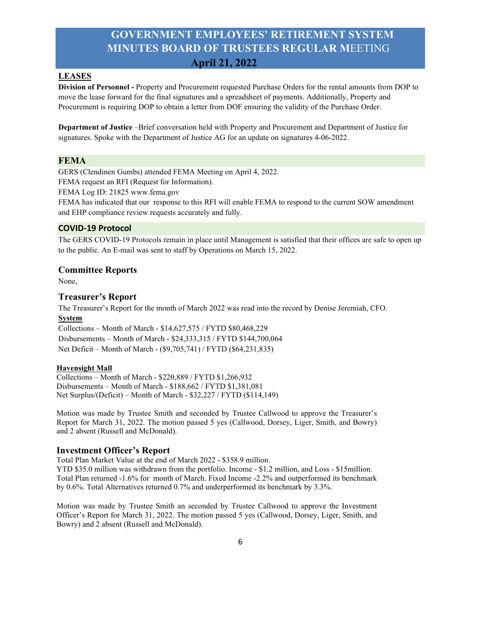#### **LEASES**

**Division of Personnel -** Property and Procurement requested Purchase Orders for the rental amounts from DOP to move the lease forward for the final signatures and a spreadsheet of payments. Additionally, Property and Procurement is requiring DOP to obtain a letter from DOF ensuring the validity of the Purchase Order.

**Department of Justice** –Brief conversation held with Property and Procurement and Department of Justice for signatures. Spoke with the Department of Justice AG for an update on signatures 4-06-2022.

## **FEMA**

GERS (Clendinen Gumbs) attended FEMA Meeting on April 4, 2022.

FEMA request an RFI (Request for Information).

FEMA Log ID: 21825 www.fema.gov

FEMA has indicated that our response to this RFI will enable FEMA to respond to the current SOW amendment and EHP compliance review requests accurately and fully.

## **COVID-19 Protocol**

The GERS COVID-19 Protocols remain in place until Management is satisfied that their offices are safe to open up to the public. An E-mail was sent to staff by Operations on March 15, 2022.

#### **Committee Reports**

None,

## **Treasurer's Report**

The Treasurer's Report for the month of March 2022 was read into the record by Denise Jeremiah, CFO. **System**

Collections – Month of March - \$14,627,575 / FYTD \$80,468,229 Disbursements – Month of March - \$24,333,315 / FYTD \$144,700,064 Net Deficit – Month of March - (\$9,705,741) / FYTD (\$64,231,835)

#### **Havensight Mall**

Collections – Month of March - \$220,889 / FYTD \$1,266,932 Disbursements – Month of March - \$188,662 / FYTD \$1,381,081 Net Surplus/(Deficit) – Month of March - \$32,227 / FYTD (\$114,149)

Motion was made by Trustee Smith and seconded by Trustee Callwood to approve the Treasurer's Report for March 31, 2022. The motion passed 5 yes (Callwood, Dorsey, Liger, Smith, and Bowry) and 2 absent (Russell and McDonald).

#### **Investment Officer's Report**

Total Plan Market Value at the end of March 2022 - \$358.9 million.

YTD \$35.0 million was withdrawn from the portfolio. Income - \$1.2 million, and Loss - \$15million. Total Plan returned -1.6% for month of March. Fixed Income -2.2% and outperformed its benchmark by 0.6%. Total Alternatives returned 0.7% and underperformed its benchmark by 3.3%.

Motion was made by Trustee Smith an seconded by Trustee Callwood to approve the Investment Officer's Report for March 31, 2022. The motion passed 5 yes (Callwood, Dorsey, Liger, Smith, and Bowry) and 2 absent (Russell and McDonald).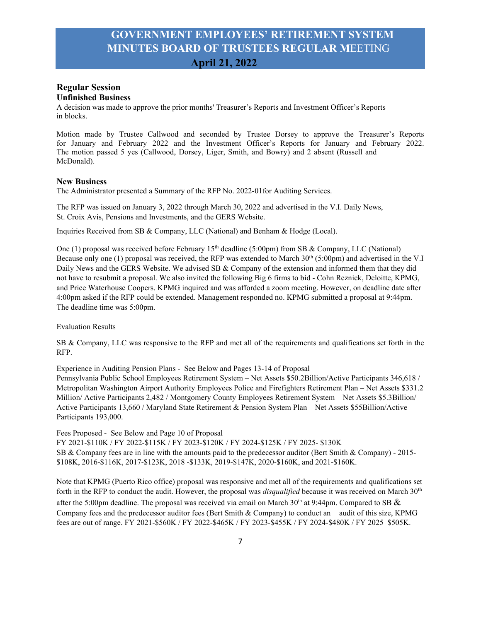## **Regular Session Unfinished Business**

A decision was made to approve the prior months' Treasurer's Reports and Investment Officer's Reports in blocks.

Motion made by Trustee Callwood and seconded by Trustee Dorsey to approve the Treasurer's Reports for January and February 2022 and the Investment Officer's Reports for January and February 2022. The motion passed 5 yes (Callwood, Dorsey, Liger, Smith, and Bowry) and 2 absent (Russell and McDonald).

#### **New Business**

The Administrator presented a Summary of the RFP No. 2022-01for Auditing Services.

The RFP was issued on January 3, 2022 through March 30, 2022 and advertised in the V.I. Daily News, St. Croix Avis, Pensions and Investments, and the GERS Website.

Inquiries Received from SB & Company, LLC (National) and Benham & Hodge (Local).

One (1) proposal was received before February 15<sup>th</sup> deadline (5:00pm) from SB & Company, LLC (National) Because only one (1) proposal was received, the RFP was extended to March 30<sup>th</sup> (5:00pm) and advertised in the V.I Daily News and the GERS Website. We advised SB & Company of the extension and informed them that they did not have to resubmit a proposal. We also invited the following Big 6 firms to bid - Cohn Reznick, Deloitte, KPMG, and Price Waterhouse Coopers. KPMG inquired and was afforded a zoom meeting. However, on deadline date after 4:00pm asked if the RFP could be extended. Management responded no. KPMG submitted a proposal at 9:44pm. The deadline time was 5:00pm.

Evaluation Results

SB & Company, LLC was responsive to the RFP and met all of the requirements and qualifications set forth in the RFP.

Experience in Auditing Pension Plans - See Below and Pages 13-14 of Proposal

Pennsylvania Public School Employees Retirement System – Net Assets \$50.2Billion/Active Participants 346,618 / Metropolitan Washington Airport Authority Employees Police and Firefighters Retirement Plan – Net Assets \$331.2 Million/ Active Participants 2,482 / Montgomery County Employees Retirement System – Net Assets \$5.3Billion/ Active Participants 13,660 / Maryland State Retirement & Pension System Plan – Net Assets \$55Billion/Active Participants 193,000.

Fees Proposed - See Below and Page 10 of Proposal

FY 2021-\$110K / FY 2022-\$115K / FY 2023-\$120K / FY 2024-\$125K / FY 2025- \$130K SB & Company fees are in line with the amounts paid to the predecessor auditor (Bert Smith & Company) - 2015- \$108K, 2016-\$116K, 2017-\$123K, 2018 -\$133K, 2019-\$147K, 2020-\$160K, and 2021-\$160K.

Note that KPMG (Puerto Rico office) proposal was responsive and met all of the requirements and qualifications set forth in the RFP to conduct the audit. However, the proposal was *disqualified* because it was received on March 30<sup>th</sup> after the 5:00pm deadline. The proposal was received via email on March 30<sup>th</sup> at 9:44pm. Compared to SB  $\&$ Company fees and the predecessor auditor fees (Bert Smith & Company) to conduct an audit of this size, KPMG fees are out of range. FY 2021-\$560K / FY 2022-\$465K / FY 2023-\$455K / FY 2024-\$480K / FY 2025–\$505K.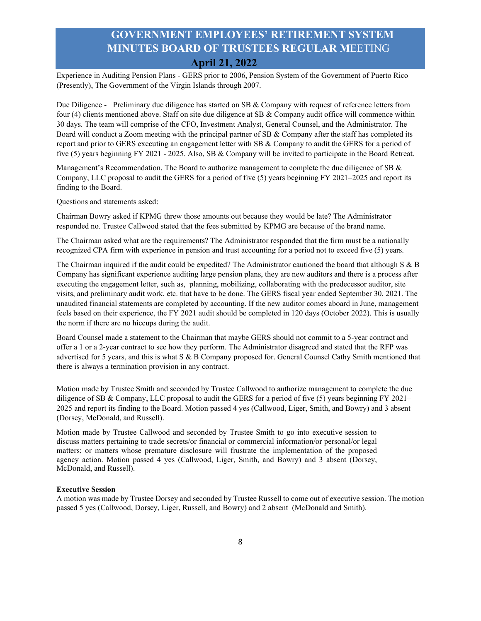Experience in Auditing Pension Plans - GERS prior to 2006, Pension System of the Government of Puerto Rico (Presently), The Government of the Virgin Islands through 2007.

Due Diligence - Preliminary due diligence has started on SB & Company with request of reference letters from four (4) clients mentioned above. Staff on site due diligence at SB & Company audit office will commence within 30 days. The team will comprise of the CFO, Investment Analyst, General Counsel, and the Administrator. The Board will conduct a Zoom meeting with the principal partner of SB & Company after the staff has completed its report and prior to GERS executing an engagement letter with SB & Company to audit the GERS for a period of five (5) years beginning FY 2021 - 2025. Also, SB & Company will be invited to participate in the Board Retreat.

Management's Recommendation. The Board to authorize management to complete the due diligence of SB & Company, LLC proposal to audit the GERS for a period of five (5) years beginning FY 2021–2025 and report its finding to the Board.

Questions and statements asked:

Chairman Bowry asked if KPMG threw those amounts out because they would be late? The Administrator responded no. Trustee Callwood stated that the fees submitted by KPMG are because of the brand name.

The Chairman asked what are the requirements? The Administrator responded that the firm must be a nationally recognized CPA firm with experience in pension and trust accounting for a period not to exceed five (5) years.

The Chairman inquired if the audit could be expedited? The Administrator cautioned the board that although S & B Company has significant experience auditing large pension plans, they are new auditors and there is a process after executing the engagement letter, such as, planning, mobilizing, collaborating with the predecessor auditor, site visits, and preliminary audit work, etc. that have to be done. The GERS fiscal year ended September 30, 2021. The unaudited financial statements are completed by accounting. If the new auditor comes aboard in June, management feels based on their experience, the FY 2021 audit should be completed in 120 days (October 2022). This is usually the norm if there are no hiccups during the audit.

Board Counsel made a statement to the Chairman that maybe GERS should not commit to a 5-year contract and offer a 1 or a 2-year contract to see how they perform. The Administrator disagreed and stated that the RFP was advertised for 5 years, and this is what S & B Company proposed for. General Counsel Cathy Smith mentioned that there is always a termination provision in any contract.

Motion made by Trustee Smith and seconded by Trustee Callwood to authorize management to complete the due diligence of SB & Company, LLC proposal to audit the GERS for a period of five (5) years beginning FY 2021– 2025 and report its finding to the Board. Motion passed 4 yes (Callwood, Liger, Smith, and Bowry) and 3 absent (Dorsey, McDonald, and Russell).

Motion made by Trustee Callwood and seconded by Trustee Smith to go into executive session to discuss matters pertaining to trade secrets/or financial or commercial information/or personal/or legal matters; or matters whose premature disclosure will frustrate the implementation of the proposed agency action. Motion passed 4 yes (Callwood, Liger, Smith, and Bowry) and 3 absent (Dorsey, McDonald, and Russell).

#### **Executive Session**

A motion was made by Trustee Dorsey and seconded by Trustee Russell to come out of executive session. The motion passed 5 yes (Callwood, Dorsey, Liger, Russell, and Bowry) and 2 absent (McDonald and Smith).